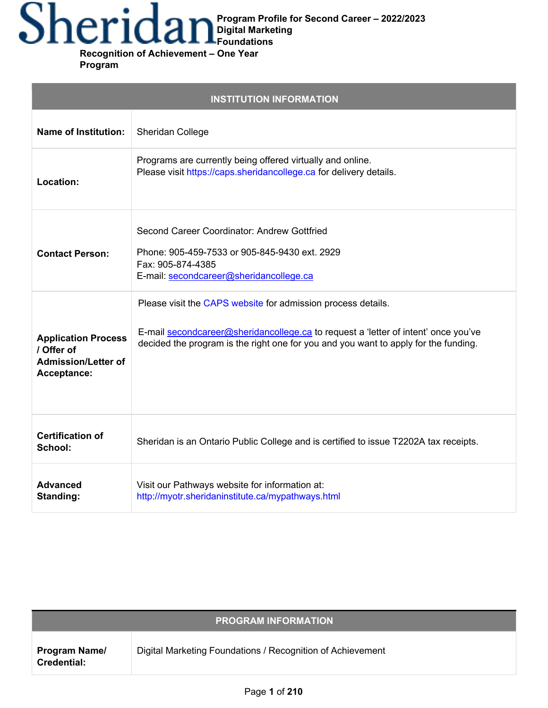# **Program Profile for Second Career – 2022/2023**

**Digital Marketing Foundations Recognition of Achievement – One Year**

**Program**

| <b>INSTITUTION INFORMATION</b>                                                        |                                                                                                                                                                                                                                           |  |
|---------------------------------------------------------------------------------------|-------------------------------------------------------------------------------------------------------------------------------------------------------------------------------------------------------------------------------------------|--|
| <b>Name of Institution:</b>                                                           | Sheridan College                                                                                                                                                                                                                          |  |
| Location:                                                                             | Programs are currently being offered virtually and online.<br>Please visit https://caps.sheridancollege.ca for delivery details.                                                                                                          |  |
| <b>Contact Person:</b>                                                                | Second Career Coordinator: Andrew Gottfried<br>Phone: 905-459-7533 or 905-845-9430 ext. 2929<br>Fax: 905-874-4385<br>E-mail: secondcareer@sheridancollege.ca                                                                              |  |
| <b>Application Process</b><br>/ Offer of<br><b>Admission/Letter of</b><br>Acceptance: | Please visit the CAPS website for admission process details.<br>E-mail secondcareer@sheridancollege.ca to request a 'letter of intent' once you've<br>decided the program is the right one for you and you want to apply for the funding. |  |
| <b>Certification of</b><br>School:                                                    | Sheridan is an Ontario Public College and is certified to issue T2202A tax receipts.                                                                                                                                                      |  |
| <b>Advanced</b><br>Standing:                                                          | Visit our Pathways website for information at:<br>http://myotr.sheridaninstitute.ca/mypathways.html                                                                                                                                       |  |

| <b>PROGRAM INFORMATION</b>          |                                                            |  |
|-------------------------------------|------------------------------------------------------------|--|
| <b>Program Name/</b><br>Credential: | Digital Marketing Foundations / Recognition of Achievement |  |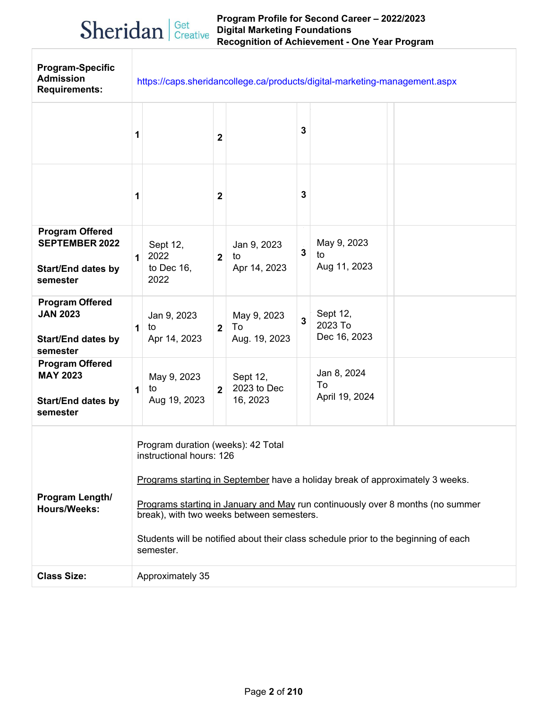### Sheridan | Get Creative

#### **Program Profile for Second Career – 2022/2023 Digital Marketing Foundations Recognition of Achievement - One Year Program**

| <b>Program-Specific</b><br><b>Admission</b><br><b>Requirements:</b>                      | https://caps.sheridancollege.ca/products/digital-marketing-management.aspx |                                                                                                                                                                                                                                                                                                                                                                                    |                |                                     |              |                                     |  |
|------------------------------------------------------------------------------------------|----------------------------------------------------------------------------|------------------------------------------------------------------------------------------------------------------------------------------------------------------------------------------------------------------------------------------------------------------------------------------------------------------------------------------------------------------------------------|----------------|-------------------------------------|--------------|-------------------------------------|--|
|                                                                                          | 1                                                                          |                                                                                                                                                                                                                                                                                                                                                                                    | $\mathbf 2$    |                                     | 3            |                                     |  |
|                                                                                          | 1                                                                          |                                                                                                                                                                                                                                                                                                                                                                                    | $\mathbf{2}$   |                                     | 3            |                                     |  |
| <b>Program Offered</b><br><b>SEPTEMBER 2022</b><br><b>Start/End dates by</b><br>semester | $\mathbf 1$                                                                | Sept 12,<br>2022<br>to Dec 16,<br>2022                                                                                                                                                                                                                                                                                                                                             | 2 <sup>1</sup> | Jan 9, 2023<br>to<br>Apr 14, 2023   | $\mathbf{3}$ | May 9, 2023<br>to<br>Aug 11, 2023   |  |
| <b>Program Offered</b><br><b>JAN 2023</b><br><b>Start/End dates by</b><br>semester       | 1                                                                          | Jan 9, 2023<br>to<br>Apr 14, 2023                                                                                                                                                                                                                                                                                                                                                  | 2 <sup>1</sup> | May 9, 2023<br>To<br>Aug. 19, 2023  | $\mathbf{3}$ | Sept 12,<br>2023 To<br>Dec 16, 2023 |  |
| <b>Program Offered</b><br><b>MAY 2023</b><br><b>Start/End dates by</b><br>semester       | 1                                                                          | May 9, 2023<br>to<br>Aug 19, 2023                                                                                                                                                                                                                                                                                                                                                  | $2^{\circ}$    | Sept 12,<br>2023 to Dec<br>16, 2023 |              | Jan 8, 2024<br>To<br>April 19, 2024 |  |
| Program Length/<br><b>Hours/Weeks:</b>                                                   |                                                                            | Program duration (weeks): 42 Total<br>instructional hours: 126<br>Programs starting in September have a holiday break of approximately 3 weeks.<br>Programs starting in January and May run continuously over 8 months (no summer<br>break), with two weeks between semesters.<br>Students will be notified about their class schedule prior to the beginning of each<br>semester. |                |                                     |              |                                     |  |
| <b>Class Size:</b>                                                                       |                                                                            | Approximately 35                                                                                                                                                                                                                                                                                                                                                                   |                |                                     |              |                                     |  |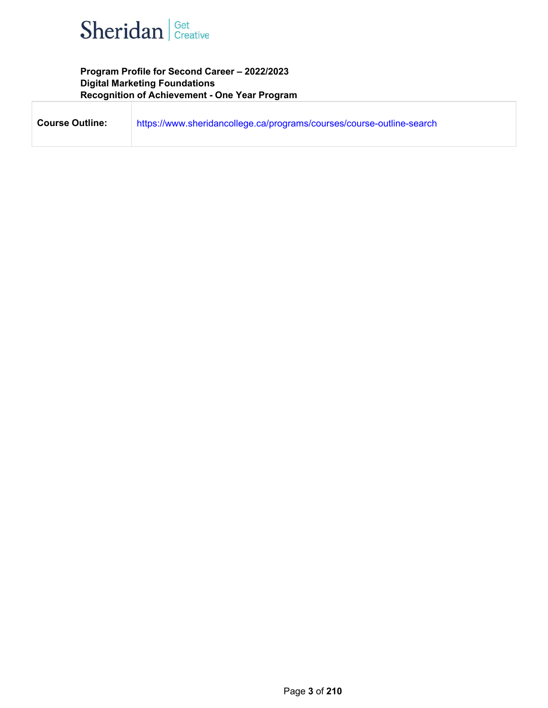

**Program Profile for Second Career – 2022/2023 Digital Marketing Foundations Recognition of Achievement - One Year Program**

| <b>Course Outline:</b> | https://www.sheridancollege.ca/programs/courses/course-outline-search |
|------------------------|-----------------------------------------------------------------------|
|                        |                                                                       |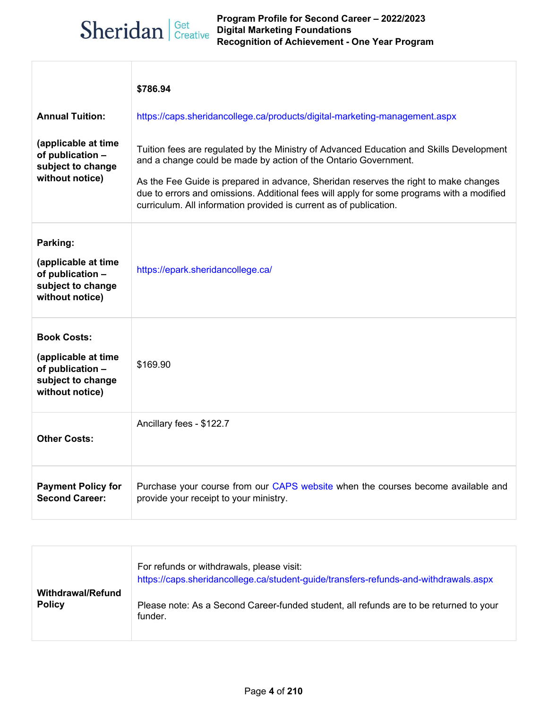## Sheridan | Get Creative

|                                                                                                       | \$786.94                                                                                                                                                                                                                                                                                                                                                                                                              |  |  |
|-------------------------------------------------------------------------------------------------------|-----------------------------------------------------------------------------------------------------------------------------------------------------------------------------------------------------------------------------------------------------------------------------------------------------------------------------------------------------------------------------------------------------------------------|--|--|
| <b>Annual Tuition:</b>                                                                                | https://caps.sheridancollege.ca/products/digital-marketing-management.aspx                                                                                                                                                                                                                                                                                                                                            |  |  |
| (applicable at time<br>of publication -<br>subject to change<br>without notice)                       | Tuition fees are regulated by the Ministry of Advanced Education and Skills Development<br>and a change could be made by action of the Ontario Government.<br>As the Fee Guide is prepared in advance, Sheridan reserves the right to make changes<br>due to errors and omissions. Additional fees will apply for some programs with a modified<br>curriculum. All information provided is current as of publication. |  |  |
| Parking:<br>(applicable at time<br>of publication -<br>subject to change<br>without notice)           | https://epark.sheridancollege.ca/                                                                                                                                                                                                                                                                                                                                                                                     |  |  |
| <b>Book Costs:</b><br>(applicable at time<br>of publication -<br>subject to change<br>without notice) | \$169.90                                                                                                                                                                                                                                                                                                                                                                                                              |  |  |
| <b>Other Costs:</b>                                                                                   | Ancillary fees - \$122.7                                                                                                                                                                                                                                                                                                                                                                                              |  |  |
| <b>Payment Policy for</b><br><b>Second Career:</b>                                                    | Purchase your course from our CAPS website when the courses become available and<br>provide your receipt to your ministry.                                                                                                                                                                                                                                                                                            |  |  |

|                                    | For refunds or withdrawals, please visit:<br>https://caps.sheridancollege.ca/student-guide/transfers-refunds-and-withdrawals.aspx |
|------------------------------------|-----------------------------------------------------------------------------------------------------------------------------------|
| Withdrawal/Refund<br><b>Policy</b> | Please note: As a Second Career-funded student, all refunds are to be returned to your<br>funder.                                 |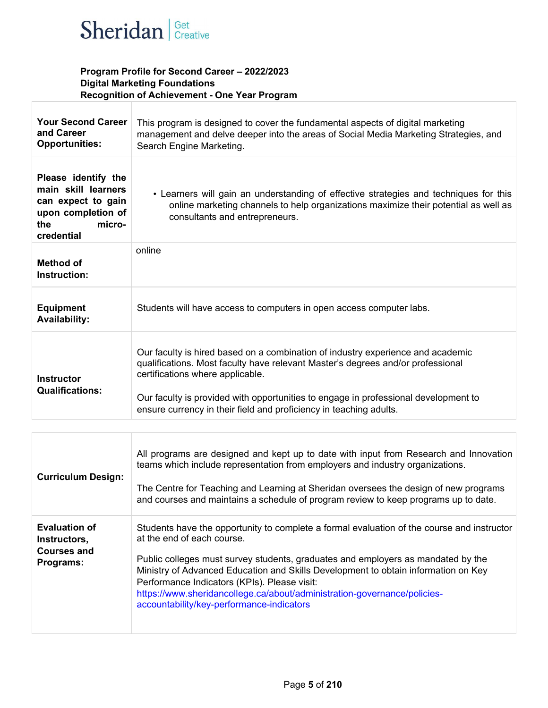

#### **Program Profile for Second Career – 2022/2023 Digital Marketing Foundations Recognition of Achievement - One Year Program**

| <b>Your Second Career</b><br>and Career<br><b>Opportunities:</b>                                                      | This program is designed to cover the fundamental aspects of digital marketing<br>management and delve deeper into the areas of Social Media Marketing Strategies, and<br>Search Engine Marketing.                                                                                                                                                                  |
|-----------------------------------------------------------------------------------------------------------------------|---------------------------------------------------------------------------------------------------------------------------------------------------------------------------------------------------------------------------------------------------------------------------------------------------------------------------------------------------------------------|
| Please identify the<br>main skill learners<br>can expect to gain<br>upon completion of<br>micro-<br>the<br>credential | • Learners will gain an understanding of effective strategies and techniques for this<br>online marketing channels to help organizations maximize their potential as well as<br>consultants and entrepreneurs.                                                                                                                                                      |
| Method of<br>Instruction:                                                                                             | online                                                                                                                                                                                                                                                                                                                                                              |
| <b>Equipment</b><br><b>Availability:</b>                                                                              | Students will have access to computers in open access computer labs.                                                                                                                                                                                                                                                                                                |
| <b>Instructor</b><br><b>Qualifications:</b>                                                                           | Our faculty is hired based on a combination of industry experience and academic<br>qualifications. Most faculty have relevant Master's degrees and/or professional<br>certifications where applicable.<br>Our faculty is provided with opportunities to engage in professional development to<br>ensure currency in their field and proficiency in teaching adults. |

| <b>Curriculum Design:</b>                                               | All programs are designed and kept up to date with input from Research and Innovation<br>teams which include representation from employers and industry organizations.<br>The Centre for Teaching and Learning at Sheridan oversees the design of new programs<br>and courses and maintains a schedule of program review to keep programs up to date.                                                                                                                       |
|-------------------------------------------------------------------------|-----------------------------------------------------------------------------------------------------------------------------------------------------------------------------------------------------------------------------------------------------------------------------------------------------------------------------------------------------------------------------------------------------------------------------------------------------------------------------|
| <b>Evaluation of</b><br>Instructors,<br><b>Courses and</b><br>Programs: | Students have the opportunity to complete a formal evaluation of the course and instructor<br>at the end of each course.<br>Public colleges must survey students, graduates and employers as mandated by the<br>Ministry of Advanced Education and Skills Development to obtain information on Key<br>Performance Indicators (KPIs). Please visit:<br>https://www.sheridancollege.ca/about/administration-governance/policies-<br>accountability/key-performance-indicators |